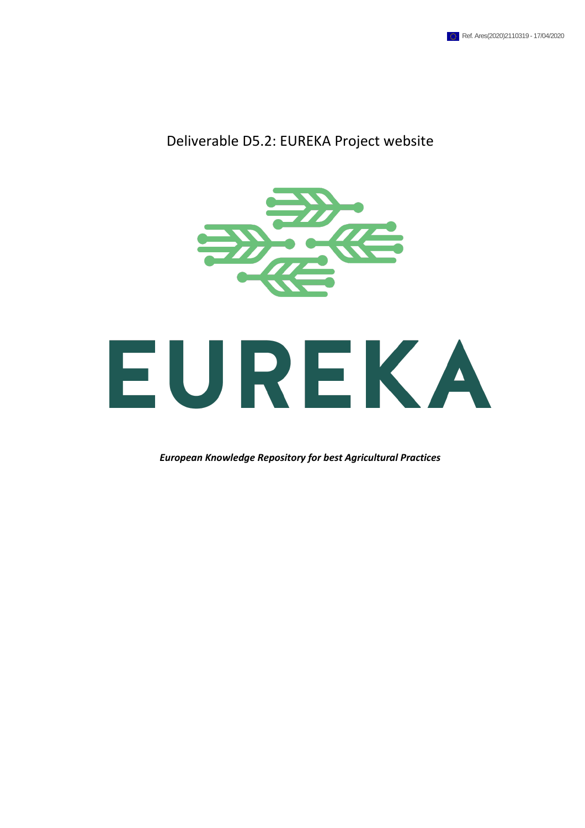#### Deliverable D5.2: EUREKA Project website



*European Knowledge Repository for best Agricultural Practices*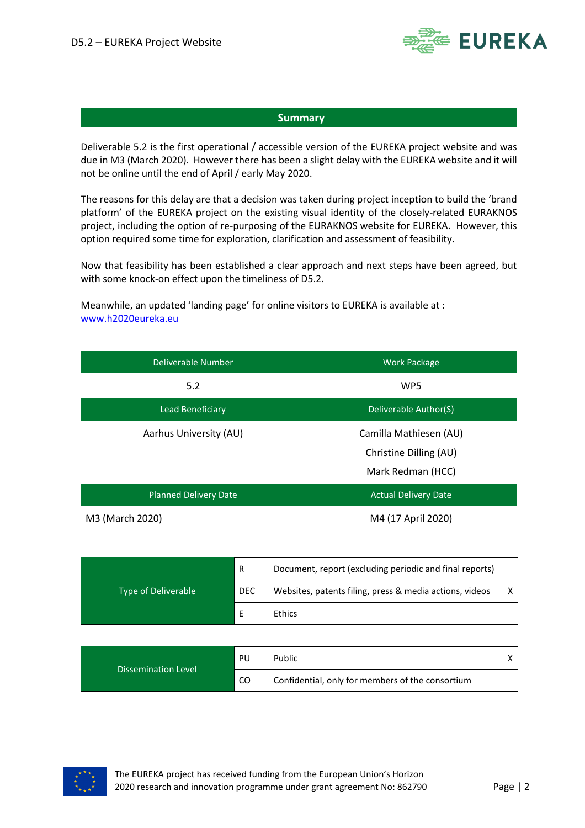

#### **Summary**

Deliverable 5.2 is the first operational / accessible version of the EUREKA project website and was due in M3 (March 2020). However there has been a slight delay with the EUREKA website and it will not be online until the end of April / early May 2020.

The reasons for this delay are that a decision was taken during project inception to build the 'brand platform' of the EUREKA project on the existing visual identity of the closely-related EURAKNOS project, including the option of re-purposing of the EURAKNOS website for EUREKA. However, this option required some time for exploration, clarification and assessment of feasibility.

Now that feasibility has been established a clear approach and next steps have been agreed, but with some knock-on effect upon the timeliness of D5.2.

Meanwhile, an updated 'landing page' for online visitors to EUREKA is available at : [www.h2020eureka.eu](http://www.h2020eureka.eu/)

| Deliverable Number           | <b>Work Package</b>         |
|------------------------------|-----------------------------|
| 5.2                          | WP5                         |
| Lead Beneficiary             | Deliverable Author(S)       |
| Aarhus University (AU)       | Camilla Mathiesen (AU)      |
|                              | Christine Dilling (AU)      |
|                              | Mark Redman (HCC)           |
| <b>Planned Delivery Date</b> | <b>Actual Delivery Date</b> |
| M3 (March 2020)              | M4 (17 April 2020)          |

| <b>Type of Deliverable</b> | R          | Document, report (excluding periodic and final reports) |   |
|----------------------------|------------|---------------------------------------------------------|---|
|                            | <b>DEC</b> | Websites, patents filing, press & media actions, videos | x |
|                            |            | Ethics                                                  |   |

| <b>Dissemination Level</b> | PU  | Public                                           |  |
|----------------------------|-----|--------------------------------------------------|--|
|                            | -CO | Confidential, only for members of the consortium |  |

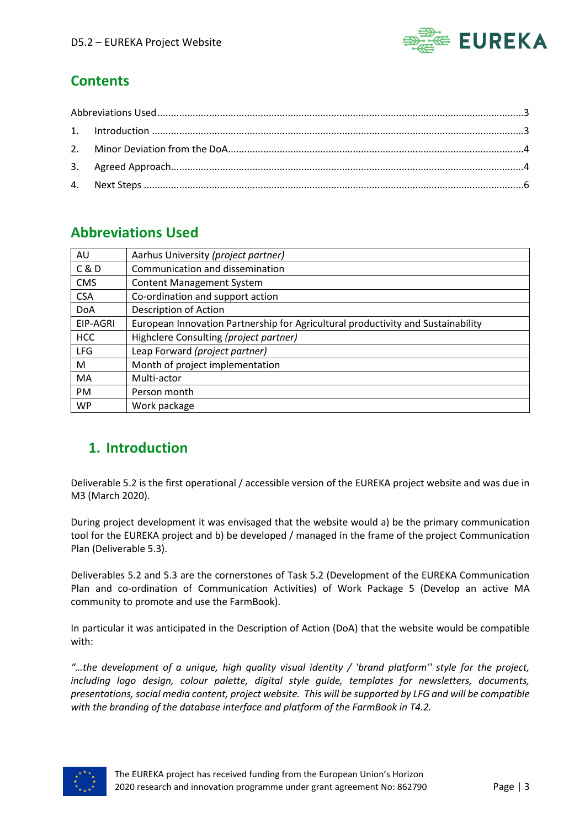

# **Contents**

# <span id="page-2-0"></span>**Abbreviations Used**

| AU         | Aarhus University (project partner)                                              |
|------------|----------------------------------------------------------------------------------|
| C & D      | Communication and dissemination                                                  |
| <b>CMS</b> | <b>Content Management System</b>                                                 |
| <b>CSA</b> | Co-ordination and support action                                                 |
| <b>DoA</b> | Description of Action                                                            |
| EIP-AGRI   | European Innovation Partnership for Agricultural productivity and Sustainability |
| <b>HCC</b> | Highclere Consulting (project partner)                                           |
| <b>LFG</b> | Leap Forward (project partner)                                                   |
| M          | Month of project implementation                                                  |
| MA         | Multi-actor                                                                      |
| <b>PM</b>  | Person month                                                                     |
| WP         | Work package                                                                     |

# <span id="page-2-1"></span>**1. Introduction**

Deliverable 5.2 is the first operational / accessible version of the EUREKA project website and was due in M3 (March 2020).

During project development it was envisaged that the website would a) be the primary communication tool for the EUREKA project and b) be developed / managed in the frame of the project Communication Plan (Deliverable 5.3).

Deliverables 5.2 and 5.3 are the cornerstones of Task 5.2 (Development of the EUREKA Communication Plan and co-ordination of Communication Activities) of Work Package 5 (Develop an active MA community to promote and use the FarmBook).

In particular it was anticipated in the Description of Action (DoA) that the website would be compatible with:

*"…the development of a unique, high quality visual identity / 'brand platform'' style for the project, including logo design, colour palette, digital style guide, templates for newsletters, documents, presentations, social media content, project website. This will be supported by LFG and will be compatible with the branding of the database interface and platform of the FarmBook in T4.2.* 

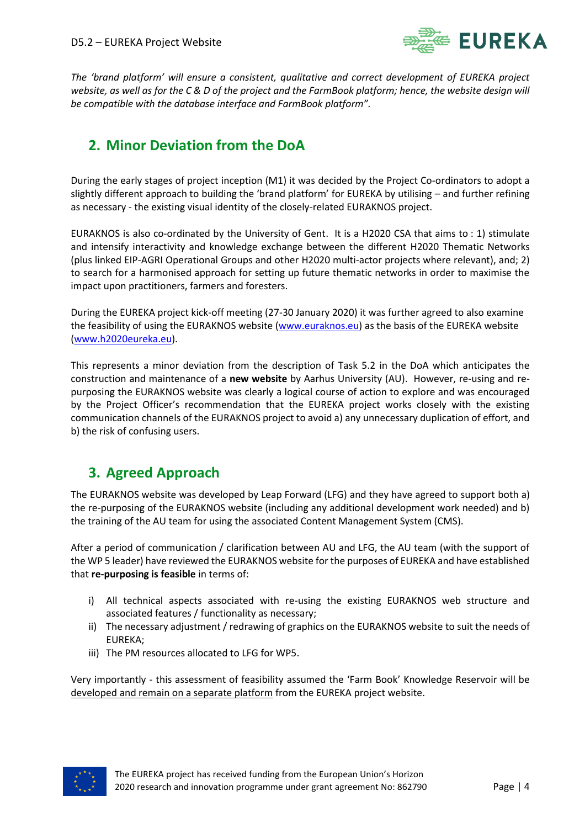

*The 'brand platform' will ensure a consistent, qualitative and correct development of EUREKA project website, as well as for the C & D of the project and the FarmBook platform; hence, the website design will be compatible with the database interface and FarmBook platform".*

#### <span id="page-3-0"></span>**2. Minor Deviation from the DoA**

During the early stages of project inception (M1) it was decided by the Project Co-ordinators to adopt a slightly different approach to building the 'brand platform' for EUREKA by utilising – and further refining as necessary - the existing visual identity of the closely-related EURAKNOS project.

EURAKNOS is also co-ordinated by the University of Gent. It is a H2020 CSA that aims to : 1) stimulate and intensify interactivity and knowledge exchange between the different H2020 Thematic Networks (plus linked EIP-AGRI Operational Groups and other H2020 multi-actor projects where relevant), and; 2) to search for a harmonised approach for setting up future thematic networks in order to maximise the impact upon practitioners, farmers and foresters.

During the EUREKA project kick-off meeting (27-30 January 2020) it was further agreed to also examine the feasibility of using the EURAKNOS website [\(www.euraknos.eu\)](http://www.euraknos.eu/) as the basis of the EUREKA website [\(www.h2020eureka.eu\)](http://www.h2020eureka.eu/).

This represents a minor deviation from the description of Task 5.2 in the DoA which anticipates the construction and maintenance of a **new website** by Aarhus University (AU). However, re-using and repurposing the EURAKNOS website was clearly a logical course of action to explore and was encouraged by the Project Officer's recommendation that the EUREKA project works closely with the existing communication channels of the EURAKNOS project to avoid a) any unnecessary duplication of effort, and b) the risk of confusing users.

# <span id="page-3-1"></span>**3. Agreed Approach**

The EURAKNOS website was developed by Leap Forward (LFG) and they have agreed to support both a) the re-purposing of the EURAKNOS website (including any additional development work needed) and b) the training of the AU team for using the associated Content Management System (CMS).

After a period of communication / clarification between AU and LFG, the AU team (with the support of the WP 5 leader) have reviewed the EURAKNOS website for the purposes of EUREKA and have established that **re-purposing is feasible** in terms of:

- i) All technical aspects associated with re-using the existing EURAKNOS web structure and associated features / functionality as necessary;
- ii) The necessary adjustment / redrawing of graphics on the EURAKNOS website to suit the needs of EUREKA;
- iii) The PM resources allocated to LFG for WP5.

Very importantly - this assessment of feasibility assumed the 'Farm Book' Knowledge Reservoir will be developed and remain on a separate platform from the EUREKA project website.

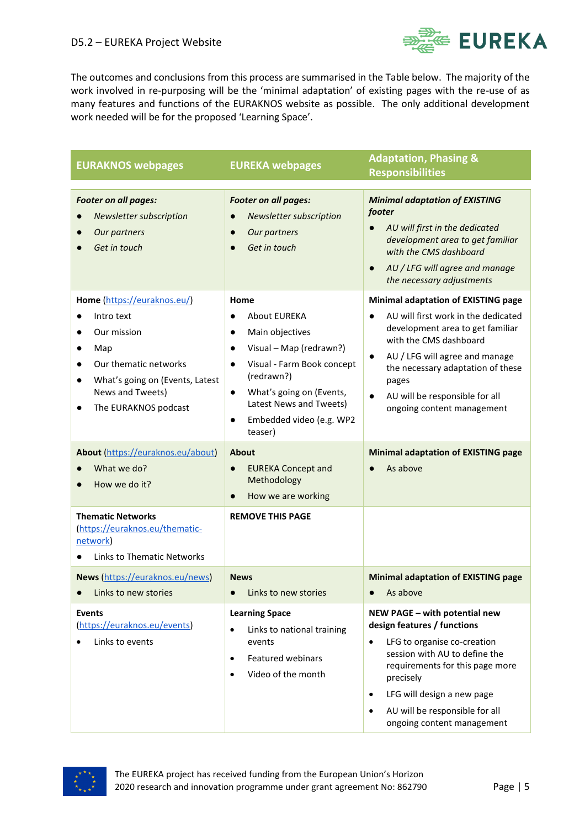

The outcomes and conclusions from this process are summarised in the Table below. The majority of the work involved in re-purposing will be the 'minimal adaptation' of existing pages with the re-use of as many features and functions of the EURAKNOS website as possible. The only additional development work needed will be for the proposed 'Learning Space'.

| <b>EURAKNOS webpages</b>                                                                                                                                                                                                                                           | <b>EUREKA webpages</b>                                                                                                                                                                                                                                                                                                                        | <b>Adaptation, Phasing &amp;</b><br><b>Responsibilities</b>                                                                                                                                                                                                                                                                                                                         |
|--------------------------------------------------------------------------------------------------------------------------------------------------------------------------------------------------------------------------------------------------------------------|-----------------------------------------------------------------------------------------------------------------------------------------------------------------------------------------------------------------------------------------------------------------------------------------------------------------------------------------------|-------------------------------------------------------------------------------------------------------------------------------------------------------------------------------------------------------------------------------------------------------------------------------------------------------------------------------------------------------------------------------------|
| Footer on all pages:<br><b>Newsletter subscription</b><br>Our partners<br>Get in touch                                                                                                                                                                             | Footer on all pages:<br><b>Newsletter subscription</b><br>$\bullet$<br>Our partners<br>$\bullet$<br>Get in touch                                                                                                                                                                                                                              | <b>Minimal adaptation of EXISTING</b><br>footer<br>AU will first in the dedicated<br>$\bullet$<br>development area to get familiar<br>with the CMS dashboard<br>AU / LFG will agree and manage<br>the necessary adjustments                                                                                                                                                         |
| Home (https://euraknos.eu/)<br>Intro text<br>$\bullet$<br>Our mission<br>Map<br>$\bullet$<br>Our thematic networks<br>$\bullet$<br>What's going on (Events, Latest<br>News and Tweets)<br>The EURAKNOS podcast<br>About (https://euraknos.eu/about)<br>What we do? | Home<br>About EUREKA<br>$\bullet$<br>Main objectives<br>$\bullet$<br>Visual - Map (redrawn?)<br>$\bullet$<br>Visual - Farm Book concept<br>$\bullet$<br>(redrawn?)<br>What's going on (Events,<br>$\bullet$<br>Latest News and Tweets)<br>Embedded video (e.g. WP2<br>$\bullet$<br>teaser)<br>About<br><b>EUREKA Concept and</b><br>$\bullet$ | <b>Minimal adaptation of EXISTING page</b><br>AU will first work in the dedicated<br>$\bullet$<br>development area to get familiar<br>with the CMS dashboard<br>AU / LFG will agree and manage<br>$\bullet$<br>the necessary adaptation of these<br>pages<br>AU will be responsible for all<br>ongoing content management<br><b>Minimal adaptation of EXISTING page</b><br>As above |
| How we do it?                                                                                                                                                                                                                                                      | Methodology<br>How we are working<br>$\bullet$                                                                                                                                                                                                                                                                                                |                                                                                                                                                                                                                                                                                                                                                                                     |
| <b>Thematic Networks</b><br>(https://euraknos.eu/thematic-<br>network)<br><b>Links to Thematic Networks</b>                                                                                                                                                        | <b>REMOVE THIS PAGE</b>                                                                                                                                                                                                                                                                                                                       |                                                                                                                                                                                                                                                                                                                                                                                     |
| News (https://euraknos.eu/news)<br>Links to new stories                                                                                                                                                                                                            | <b>News</b><br>Links to new stories<br>$\bullet$                                                                                                                                                                                                                                                                                              | <b>Minimal adaptation of EXISTING page</b><br>As above<br>$\bullet$                                                                                                                                                                                                                                                                                                                 |
| <b>Events</b><br>(https://euraknos.eu/events)<br>Links to events                                                                                                                                                                                                   | <b>Learning Space</b><br>Links to national training<br>$\bullet$<br>events<br><b>Featured webinars</b><br>$\bullet$<br>Video of the month<br>$\bullet$                                                                                                                                                                                        | NEW PAGE - with potential new<br>design features / functions<br>LFG to organise co-creation<br>$\bullet$<br>session with AU to define the<br>requirements for this page more<br>precisely<br>LFG will design a new page<br>$\bullet$<br>AU will be responsible for all<br>$\bullet$<br>ongoing content management                                                                   |